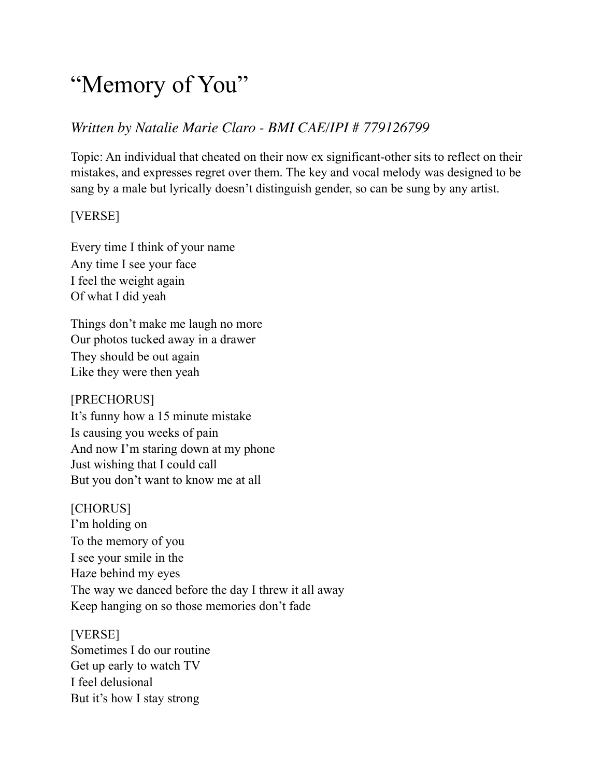# "Memory of You"

## *Written by Natalie Marie Claro - BMI CAE/IPI # 779126799*

Topic: An individual that cheated on their now ex significant-other sits to reflect on their mistakes, and expresses regret over them. The key and vocal melody was designed to be sang by a male but lyrically doesn't distinguish gender, so can be sung by any artist.

### [VERSE]

Every time I think of your name Any time I see your face I feel the weight again Of what I did yeah

Things don't make me laugh no more Our photos tucked away in a drawer They should be out again Like they were then yeah

[PRECHORUS] It's funny how a 15 minute mistake Is causing you weeks of pain And now I'm staring down at my phone Just wishing that I could call But you don't want to know me at all

[CHORUS] I'm holding on To the memory of you I see your smile in the Haze behind my eyes The way we danced before the day I threw it all away Keep hanging on so those memories don't fade

[VERSE] Sometimes I do our routine Get up early to watch TV I feel delusional But it's how I stay strong